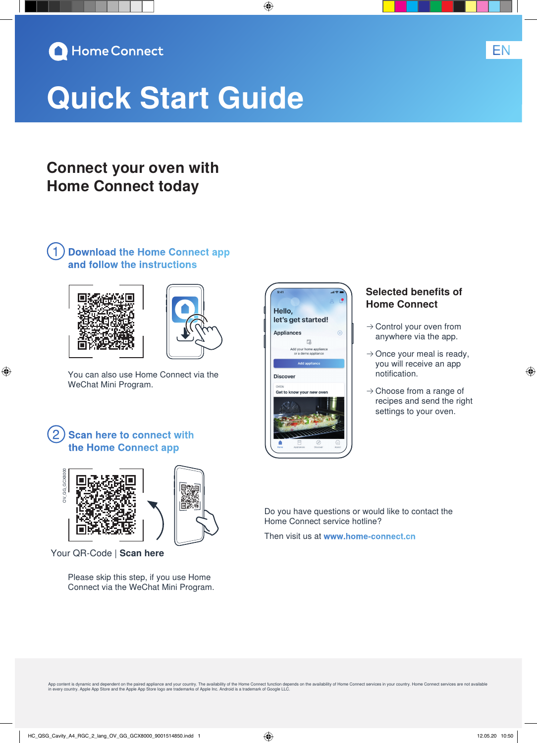

# **Quick Start Guide**

## **Connect your oven with Home Connect today**

### ①**Download the Home Connect app and follow the instructions**



⊕



You can also use Home Connect via the WeChat Mini Program.

### **Scan here to connect with the Home Connect app**



Your QR-Code | **Scan here**

Please skip this step, if you use Home Connect via the WeChat Mini Program.



◈

#### **Selected benefits of Home Connect**

- $\rightarrow$  Control your oven from anywhere via the app.
- $\rightarrow$  Once your meal is ready, you will receive an app notification.
- $\rightarrow$  Choose from a range of recipes and send the right settings to your oven.

Do you have questions or would like to contact the Home Connect service hotline?

Then visit us at **www.home-connect.cn**

App content is dynamic and dependent on the paired appliance and your country. The availability of the Home Connect function depends on the availability of Home Connect services in your country. Home Connect services are n

EN

◈